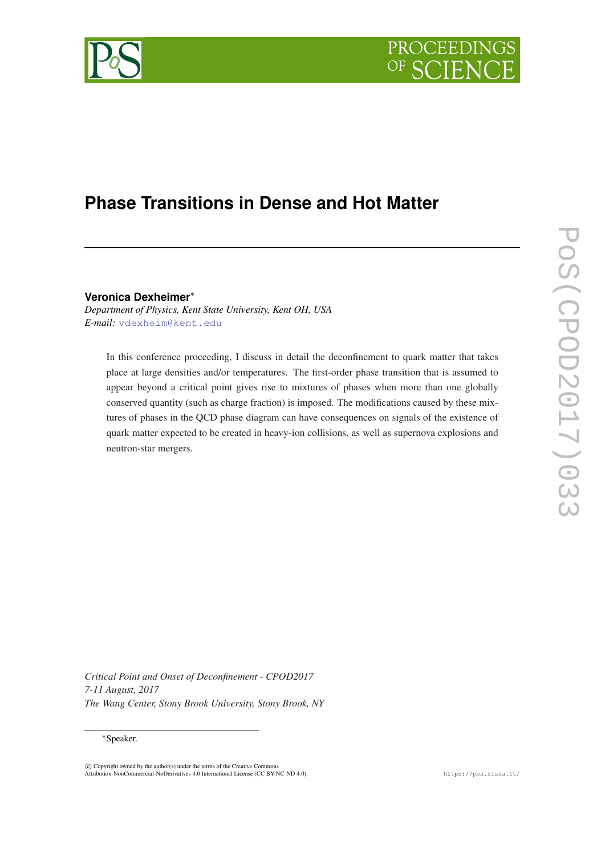



## **Phase Transitions in Dense and Hot Matter**

**Veronica Dexheimer**<sup>∗</sup>

*Department of Physics, Kent State University, Kent OH, USA E-mail:* [vdexheim@kent.edu](mailto:vdexheim@kent.edu)

In this conference proceeding, I discuss in detail the deconfinement to quark matter that takes place at large densities and/or temperatures. The first-order phase transition that is assumed to appear beyond a critical point gives rise to mixtures of phases when more than one globally conserved quantity (such as charge fraction) is imposed. The modifications caused by these mixtures of phases in the QCD phase diagram can have consequences on signals of the existence of quark matter expected to be created in heavy-ion collisions, as well as supernova explosions and neutron-star mergers.

**POS(CPOD2017)033** PoS(CPOD2017)033

*Critical Point and Onset of Deconfinement - CPOD2017 7-11 August, 2017 The Wang Center, Stony Brook University, Stony Brook, NY*

<sup>∗</sup>Speaker.

 $\overline{c}$  Copyright owned by the author(s) under the terms of the Creative Commons Attribution-NonCommercial-NoDerivatives 4.0 International License (CC BY-NC-ND 4.0). https://pos.sissa.it/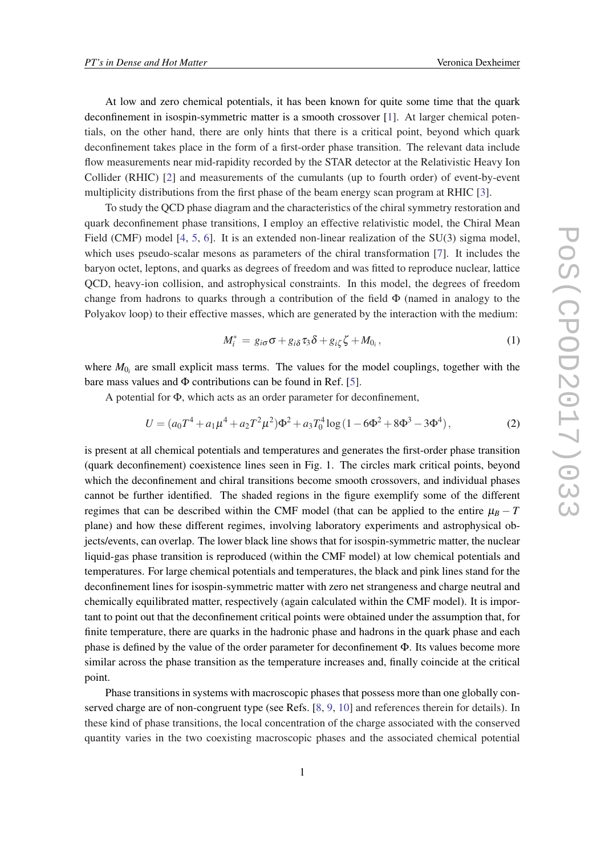At low and zero chemical potentials, it has been known for quite some time that the quark deconfinement in isospin-symmetric matter is a smooth crossover [\[1\]](#page-5-0). At larger chemical potentials, on the other hand, there are only hints that there is a critical point, beyond which quark deconfinement takes place in the form of a first-order phase transition. The relevant data include flow measurements near mid-rapidity recorded by the STAR detector at the Relativistic Heavy Ion Collider (RHIC) [[2](#page-5-0)] and measurements of the cumulants (up to fourth order) of event-by-event multiplicity distributions from the first phase of the beam energy scan program at RHIC [[3](#page-5-0)].

To study the QCD phase diagram and the characteristics of the chiral symmetry restoration and quark deconfinement phase transitions, I employ an effective relativistic model, the Chiral Mean Field (CMF) model [\[4,](#page-6-0) [5](#page-6-0), [6](#page-6-0)]. It is an extended non-linear realization of the SU(3) sigma model, which uses pseudo-scalar mesons as parameters of the chiral transformation [\[7\]](#page-6-0). It includes the baryon octet, leptons, and quarks as degrees of freedom and was fitted to reproduce nuclear, lattice QCD, heavy-ion collision, and astrophysical constraints. In this model, the degrees of freedom change from hadrons to quarks through a contribution of the field  $\Phi$  (named in analogy to the Polyakov loop) to their effective masses, which are generated by the interaction with the medium:

$$
M_i^* = g_{i\sigma}\sigma + g_{i\delta}\tau_3\delta + g_{i\zeta}\zeta + M_{0_i}, \qquad (1)
$$

where  $M_{0<sub>i</sub>}$  are small explicit mass terms. The values for the model couplings, together with the bare mass values and  $\Phi$  contributions can be found in Ref. [\[5\]](#page-6-0).

A potential for Φ, which acts as an order parameter for deconfinement,

$$
U = (a_0 T^4 + a_1 \mu^4 + a_2 T^2 \mu^2) \Phi^2 + a_3 T_0^4 \log (1 - 6\Phi^2 + 8\Phi^3 - 3\Phi^4),
$$
 (2)

is present at all chemical potentials and temperatures and generates the first-order phase transition (quark deconfinement) coexistence lines seen in Fig. 1. The circles mark critical points, beyond which the deconfinement and chiral transitions become smooth crossovers, and individual phases cannot be further identified. The shaded regions in the figure exemplify some of the different regimes that can be described within the CMF model (that can be applied to the entire  $\mu_B - T$ plane) and how these different regimes, involving laboratory experiments and astrophysical objects/events, can overlap. The lower black line shows that for isospin-symmetric matter, the nuclear liquid-gas phase transition is reproduced (within the CMF model) at low chemical potentials and temperatures. For large chemical potentials and temperatures, the black and pink lines stand for the deconfinement lines for isospin-symmetric matter with zero net strangeness and charge neutral and chemically equilibrated matter, respectively (again calculated within the CMF model). It is important to point out that the deconfinement critical points were obtained under the assumption that, for finite temperature, there are quarks in the hadronic phase and hadrons in the quark phase and each phase is defined by the value of the order parameter for deconfinement Φ. Its values become more similar across the phase transition as the temperature increases and, finally coincide at the critical point.

Phase transitions in systems with macroscopic phases that possess more than one globally conserved charge are of non-congruent type (see Refs. [\[8,](#page-6-0) [9](#page-6-0), [10\]](#page-6-0) and references therein for details). In these kind of phase transitions, the local concentration of the charge associated with the conserved quantity varies in the two coexisting macroscopic phases and the associated chemical potential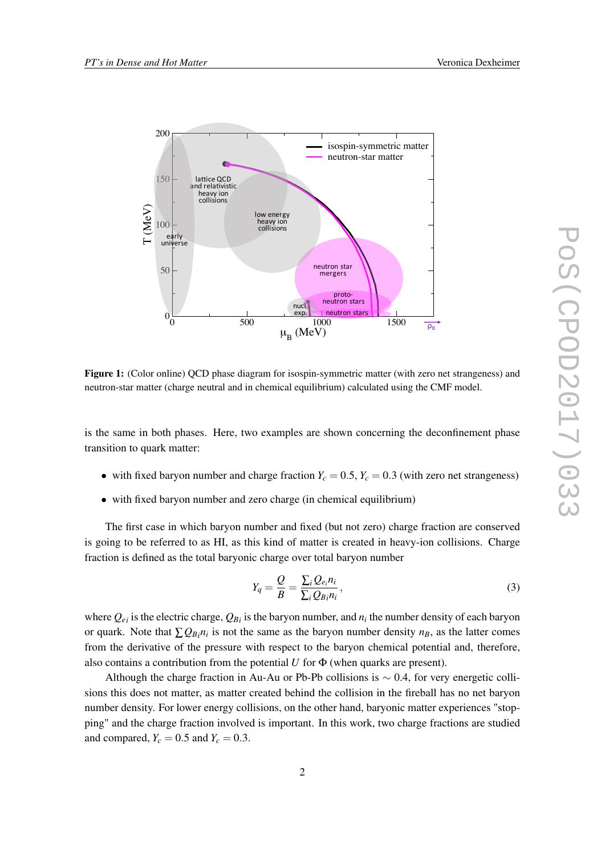

Figure 1: (Color online) QCD phase diagram for isospin-symmetric matter (with zero net strangeness) and neutron-star matter (charge neutral and in chemical equilibrium) calculated using the CMF model.

is the same in both phases. Here, two examples are shown concerning the deconfinement phase transition to quark matter:

- with fixed baryon number and charge fraction  $Y_c = 0.5$ ,  $Y_c = 0.3$  (with zero net strangeness)
- with fixed baryon number and zero charge (in chemical equilibrium)

The first case in which baryon number and fixed (but not zero) charge fraction are conserved is going to be referred to as HI, as this kind of matter is created in heavy-ion collisions. Charge fraction is defined as the total baryonic charge over total baryon number

$$
Y_q = \frac{Q}{B} = \frac{\sum_i Q_{e_i} n_i}{\sum_i Q_{Bi} n_i},\tag{3}
$$

where  $Q_{e_i}$  is the electric charge,  $Q_{B_i}$  is the baryon number, and  $n_i$  the number density of each baryon or quark. Note that  $\sum Q_{B_i} n_i$  is not the same as the baryon number density  $n_B$ , as the latter comes from the derivative of the pressure with respect to the baryon chemical potential and, therefore, also contains a contribution from the potential  $U$  for  $\Phi$  (when quarks are present).

Although the charge fraction in Au-Au or Pb-Pb collisions is  $\sim 0.4$ , for very energetic collisions this does not matter, as matter created behind the collision in the fireball has no net baryon number density. For lower energy collisions, on the other hand, baryonic matter experiences "stopping" and the charge fraction involved is important. In this work, two charge fractions are studied and compared,  $Y_c = 0.5$  and  $Y_c = 0.3$ .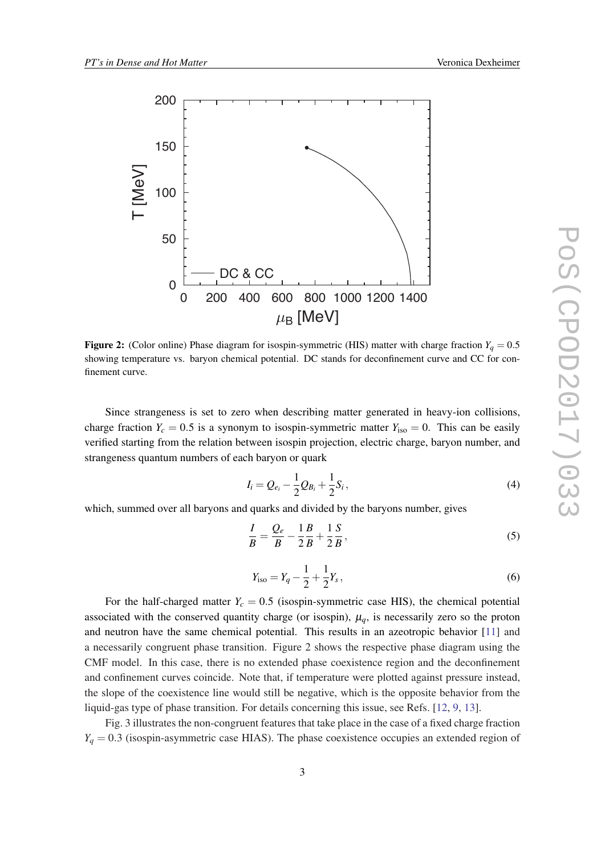

**Figure 2:** (Color online) Phase diagram for isospin-symmetric (HIS) matter with charge fraction  $Y_q = 0.5$ showing temperature vs. baryon chemical potential. DC stands for deconfinement curve and CC for confinement curve.

Since strangeness is set to zero when describing matter generated in heavy-ion collisions, charge fraction  $Y_c = 0.5$  is a synonym to isospin-symmetric matter  $Y_{iso} = 0$ . This can be easily verified starting from the relation between isospin projection, electric charge, baryon number, and strangeness quantum numbers of each baryon or quark

$$
I_i = Q_{e_i} - \frac{1}{2}Q_{B_i} + \frac{1}{2}S_i, \qquad (4)
$$

which, summed over all baryons and quarks and divided by the baryons number, gives

$$
\frac{I}{B} = \frac{Q_e}{B} - \frac{1}{2} \frac{B}{B} + \frac{1}{2} \frac{S}{B},
$$
\n(5)

$$
Y_{\rm iso} = Y_q - \frac{1}{2} + \frac{1}{2} Y_s \,, \tag{6}
$$

For the half-charged matter  $Y_c = 0.5$  (isospin-symmetric case HIS), the chemical potential associated with the conserved quantity charge (or isospin),  $\mu_a$ , is necessarily zero so the proton and neutron have the same chemical potential. This results in an azeotropic behavior [[11\]](#page-6-0) and a necessarily congruent phase transition. Figure 2 shows the respective phase diagram using the CMF model. In this case, there is no extended phase coexistence region and the deconfinement and confinement curves coincide. Note that, if temperature were plotted against pressure instead, the slope of the coexistence line would still be negative, which is the opposite behavior from the liquid-gas type of phase transition. For details concerning this issue, see Refs. [\[12](#page-6-0), [9](#page-6-0), [13\]](#page-6-0).

Fig. 3 illustrates the non-congruent features that take place in the case of a fixed charge fraction  $Y_q = 0.3$  (isospin-asymmetric case HIAS). The phase coexistence occupies an extended region of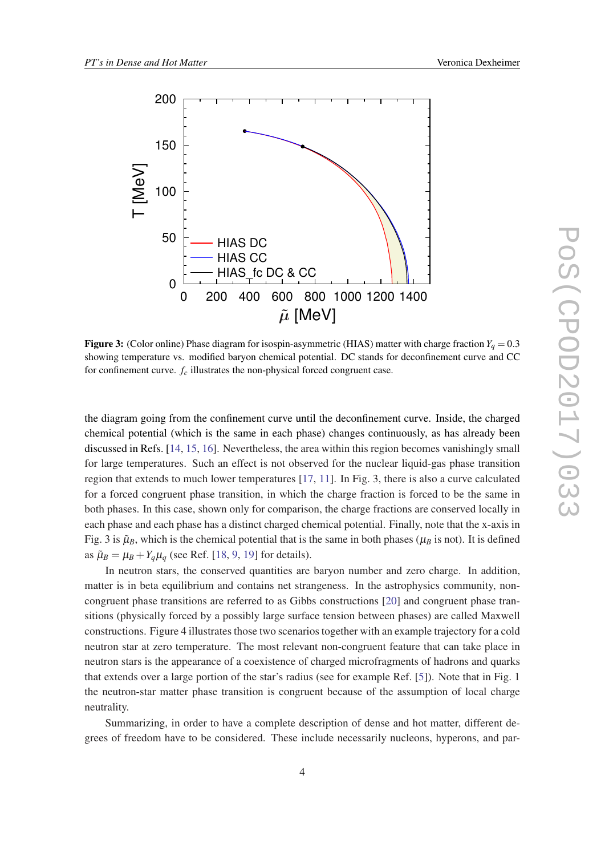

**Figure 3:** (Color online) Phase diagram for isospin-asymmetric (HIAS) matter with charge fraction  $Y_q = 0.3$ showing temperature vs. modified baryon chemical potential. DC stands for deconfinement curve and CC for confinement curve. *f<sup>c</sup>* illustrates the non-physical forced congruent case.

the diagram going from the confinement curve until the deconfinement curve. Inside, the charged chemical potential (which is the same in each phase) changes continuously, as has already been discussed in Refs. [[14,](#page-6-0) [15,](#page-6-0) [16\]](#page-6-0). Nevertheless, the area within this region becomes vanishingly small for large temperatures. Such an effect is not observed for the nuclear liquid-gas phase transition region that extends to much lower temperatures [[17,](#page-6-0) [11\]](#page-6-0). In Fig. 3, there is also a curve calculated for a forced congruent phase transition, in which the charge fraction is forced to be the same in both phases. In this case, shown only for comparison, the charge fractions are conserved locally in each phase and each phase has a distinct charged chemical potential. Finally, note that the x-axis in Fig. 3 is  $\tilde{\mu}_B$ , which is the chemical potential that is the same in both phases ( $\mu_B$  is not). It is defined as  $\tilde{\mu}_B = \mu_B + Y_a \mu_a$  (see Ref. [\[18](#page-6-0), [9](#page-6-0), [19](#page-6-0)] for details).

In neutron stars, the conserved quantities are baryon number and zero charge. In addition, matter is in beta equilibrium and contains net strangeness. In the astrophysics community, noncongruent phase transitions are referred to as Gibbs constructions [[20\]](#page-6-0) and congruent phase transitions (physically forced by a possibly large surface tension between phases) are called Maxwell constructions. Figure 4 illustrates those two scenarios together with an example trajectory for a cold neutron star at zero temperature. The most relevant non-congruent feature that can take place in neutron stars is the appearance of a coexistence of charged microfragments of hadrons and quarks that extends over a large portion of the star's radius (see for example Ref. [\[5\]](#page-6-0)). Note that in Fig. 1 the neutron-star matter phase transition is congruent because of the assumption of local charge neutrality.

Summarizing, in order to have a complete description of dense and hot matter, different degrees of freedom have to be considered. These include necessarily nucleons, hyperons, and par-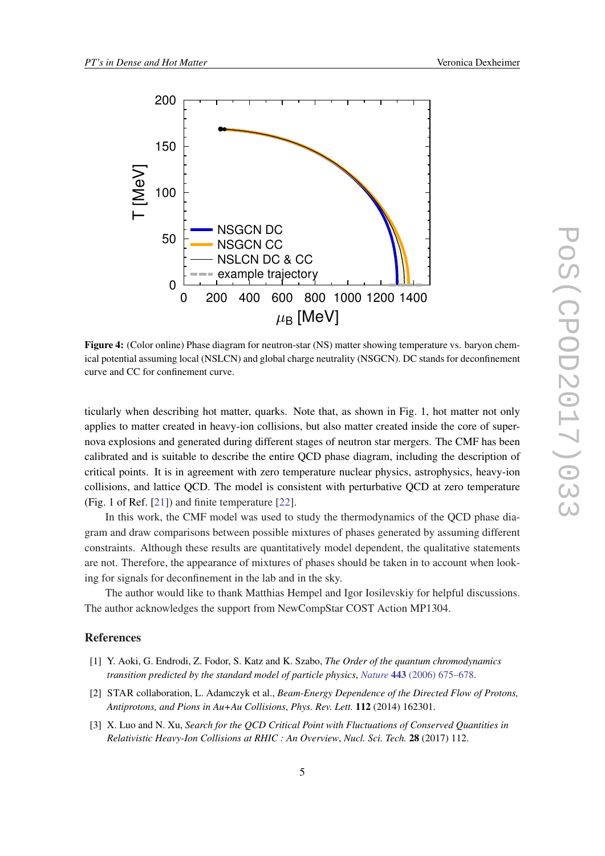<span id="page-5-0"></span>

Figure 4: (Color online) Phase diagram for neutron-star (NS) matter showing temperature vs. baryon chemical potential assuming local (NSLCN) and global charge neutrality (NSGCN). DC stands for deconfinement curve and CC for confinement curve.

ticularly when describing hot matter, quarks. Note that, as shown in Fig. 1, hot matter not only applies to matter created in heavy-ion collisions, but also matter created inside the core of supernova explosions and generated during different stages of neutron star mergers. The CMF has been calibrated and is suitable to describe the entire QCD phase diagram, including the description of critical points. It is in agreement with zero temperature nuclear physics, astrophysics, heavy-ion collisions, and lattice QCD. The model is consistent with perturbative QCD at zero temperature (Fig. 1 of Ref. [[21\]](#page-6-0)) and finite temperature [[22\]](#page-6-0).

In this work, the CMF model was used to study the thermodynamics of the QCD phase diagram and draw comparisons between possible mixtures of phases generated by assuming different constraints. Although these results are quantitatively model dependent, the qualitative statements are not. Therefore, the appearance of mixtures of phases should be taken in to account when looking for signals for deconfinement in the lab and in the sky.

The author would like to thank Matthias Hempel and Igor Iosilevskiy for helpful discussions. The author acknowledges the support from NewCompStar COST Action MP1304.

## References

- [1] Y. Aoki, G. Endrodi, Z. Fodor, S. Katz and K. Szabo, *The Order of the quantum chromodynamics transition predicted by the standard model of particle physics*, *Nature* 443 [\(2006\) 675–678](https://doi.org/10.1038/nature05120).
- [2] STAR collaboration, L. Adamczyk et al., *Beam-Energy Dependence of the Directed Flow of Protons, Antiprotons, and Pions in Au+Au Collisions*, *Phys. Rev. Lett.* 112 (2014) 162301.
- [3] X. Luo and N. Xu, *Search for the QCD Critical Point with Fluctuations of Conserved Quantities in Relativistic Heavy-Ion Collisions at RHIC : An Overview*, *Nucl. Sci. Tech.* 28 (2017) 112.